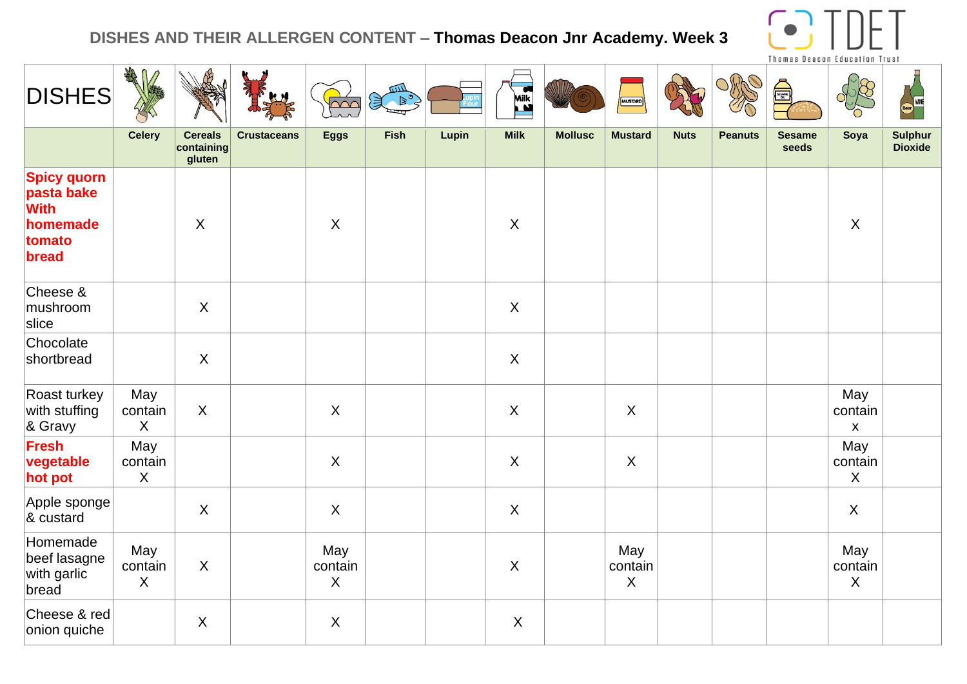## **DISHES AND THEIR ALLERGEN CONTENT – Thomas Deacon Jnr Academy. Week 3**



| <b>DISHES</b>                                                                  | AMA                            |                                        |                    | $\overline{\triangle\curvearrowright}$ | $\frac{1}{\sqrt{\left(\frac{1}{\sqrt{2}}\right)}}$ |       | <b>Milk</b>    |                | MUSTARD                        |             |                | e)                     |                                | WNE                              |
|--------------------------------------------------------------------------------|--------------------------------|----------------------------------------|--------------------|----------------------------------------|----------------------------------------------------|-------|----------------|----------------|--------------------------------|-------------|----------------|------------------------|--------------------------------|----------------------------------|
|                                                                                | <b>Celery</b>                  | <b>Cereals</b><br>containing<br>gluten | <b>Crustaceans</b> | <b>Eggs</b>                            | <b>Fish</b>                                        | Lupin | <b>Milk</b>    | <b>Mollusc</b> | <b>Mustard</b>                 | <b>Nuts</b> | <b>Peanuts</b> | <b>Sesame</b><br>seeds | Soya                           | <b>Sulphur</b><br><b>Dioxide</b> |
| <b>Spicy quorn</b><br>pasta bake<br><b>With</b><br>homemade<br>tomato<br>bread |                                | $\sf X$                                |                    | $\sf X$                                |                                                    |       | $\pmb{\times}$ |                |                                |             |                |                        | $\boldsymbol{\mathsf{X}}$      |                                  |
| Cheese &<br>mushroom<br>slice                                                  |                                | X                                      |                    |                                        |                                                    |       | $\sf X$        |                |                                |             |                |                        |                                |                                  |
| Chocolate<br>shortbread                                                        |                                | $\mathsf{X}$                           |                    |                                        |                                                    |       | $\mathsf{X}$   |                |                                |             |                |                        |                                |                                  |
| Roast turkey<br>with stuffing<br>& Gravy                                       | May<br>contain<br>$\sf X$      | $\sf X$                                |                    | $\sf X$                                |                                                    |       | $\mathsf{X}$   |                | $\overline{X}$                 |             |                |                        | May<br>contain<br>$\mathsf{x}$ |                                  |
| Fresh<br>vegetable<br>hot pot                                                  | May<br>contain<br>$\sf X$      |                                        |                    | $\sf X$                                |                                                    |       | $\mathsf{X}$   |                | $\sf X$                        |             |                |                        | May<br>contain<br>$\sf X$      |                                  |
| Apple sponge<br>& custard                                                      |                                | X                                      |                    | $\sf X$                                |                                                    |       | $\mathsf{X}$   |                |                                |             |                |                        | $\mathsf{X}$                   |                                  |
| Homemade<br>beef lasagne<br>with garlic<br>bread                               | May<br>contain<br>$\mathsf{X}$ | $\mathsf{X}$                           |                    | May<br>contain<br>$\sf X$              |                                                    |       | $\mathsf{X}$   |                | May<br>contain<br>$\mathsf{X}$ |             |                |                        | May<br>contain<br>$\sf X$      |                                  |
| Cheese & red<br>onion quiche                                                   |                                | $\sf X$                                |                    | $\sf X$                                |                                                    |       | $\pmb{\times}$ |                |                                |             |                |                        |                                |                                  |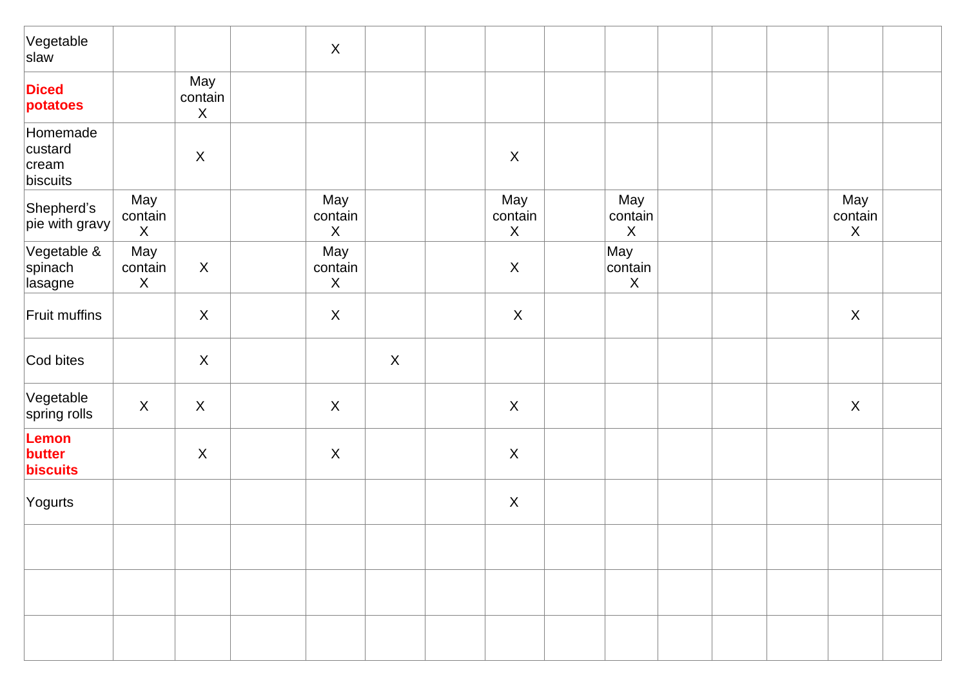| Vegetable<br>slaw                        |                                             |                           | $\boldsymbol{X}$                            |             |                               |                                |  |                               |  |
|------------------------------------------|---------------------------------------------|---------------------------|---------------------------------------------|-------------|-------------------------------|--------------------------------|--|-------------------------------|--|
| <b>Diced</b><br>potatoes                 |                                             | May<br>contain<br>$\sf X$ |                                             |             |                               |                                |  |                               |  |
| Homemade<br>custard<br>cream<br>biscuits |                                             | $\mathsf X$               |                                             |             | $\mathsf X$                   |                                |  |                               |  |
| Shepherd's<br>pie with gravy             | May<br>contain<br>$\boldsymbol{\mathsf{X}}$ |                           | May<br>contain<br>$\boldsymbol{\mathsf{X}}$ |             | May<br>contain<br>$\mathsf X$ | May<br>contain<br>$\mathsf X$  |  | May<br>contain<br>$\mathsf X$ |  |
| Vegetable &<br>spinach<br>lasagne        | May<br>contain<br>$\mathsf{X}$              | $\boldsymbol{\mathsf{X}}$ | May<br>contain<br>$\mathsf X$               |             | $\mathsf{X}$                  | May<br>contain<br>$\mathsf{X}$ |  |                               |  |
| Fruit muffins                            |                                             | $\boldsymbol{X}$          | $\boldsymbol{X}$                            |             | $\mathsf{X}$                  |                                |  | $\mathsf X$                   |  |
| Cod bites                                |                                             | $\boldsymbol{X}$          |                                             | $\mathsf X$ |                               |                                |  |                               |  |
| Vegetable<br>spring rolls                | $\mathsf X$                                 | $\pmb{\times}$            | $\boldsymbol{X}$                            |             | $\boldsymbol{\mathsf{X}}$     |                                |  | $\mathsf{X}$                  |  |
| Lemon<br>butter<br>biscuits              |                                             | $\sf X$                   | $\boldsymbol{X}$                            |             | $\boldsymbol{\mathsf{X}}$     |                                |  |                               |  |
| Yogurts                                  |                                             |                           |                                             |             | $\boldsymbol{\mathsf{X}}$     |                                |  |                               |  |
|                                          |                                             |                           |                                             |             |                               |                                |  |                               |  |
|                                          |                                             |                           |                                             |             |                               |                                |  |                               |  |
|                                          |                                             |                           |                                             |             |                               |                                |  |                               |  |